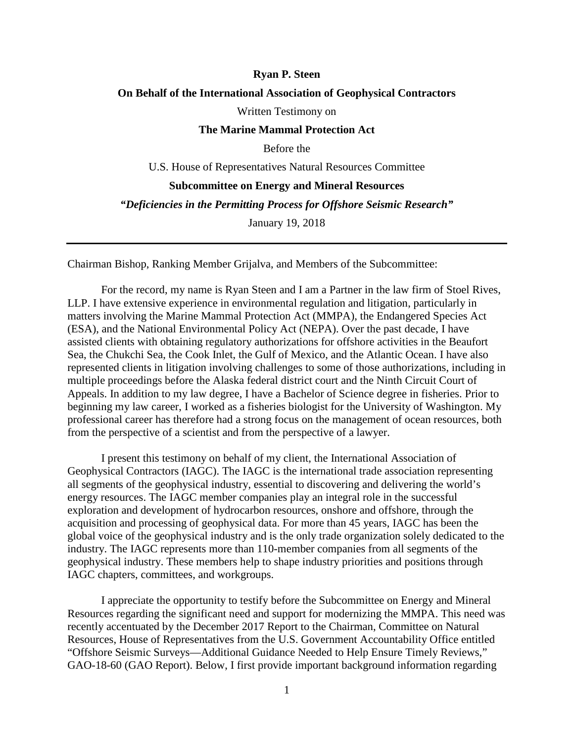#### **Ryan P. Steen**

### **On Behalf of the International Association of Geophysical Contractors**

Written Testimony on

#### **The Marine Mammal Protection Act**

Before the

U.S. House of Representatives Natural Resources Committee **Subcommittee on Energy and Mineral Resources**

*"Deficiencies in the Permitting Process for Offshore Seismic Research"*

January 19, 2018

Chairman Bishop, Ranking Member Grijalva, and Members of the Subcommittee:

For the record, my name is Ryan Steen and I am a Partner in the law firm of Stoel Rives, LLP. I have extensive experience in environmental regulation and litigation, particularly in matters involving the Marine Mammal Protection Act (MMPA), the Endangered Species Act (ESA), and the National Environmental Policy Act (NEPA). Over the past decade, I have assisted clients with obtaining regulatory authorizations for offshore activities in the Beaufort Sea, the Chukchi Sea, the Cook Inlet, the Gulf of Mexico, and the Atlantic Ocean. I have also represented clients in litigation involving challenges to some of those authorizations, including in multiple proceedings before the Alaska federal district court and the Ninth Circuit Court of Appeals. In addition to my law degree, I have a Bachelor of Science degree in fisheries. Prior to beginning my law career, I worked as a fisheries biologist for the University of Washington. My professional career has therefore had a strong focus on the management of ocean resources, both from the perspective of a scientist and from the perspective of a lawyer.

I present this testimony on behalf of my client, the International Association of Geophysical Contractors (IAGC). The IAGC is the international trade association representing all segments of the geophysical industry, essential to discovering and delivering the world's energy resources. The IAGC member companies play an integral role in the successful exploration and development of hydrocarbon resources, onshore and offshore, through the acquisition and processing of geophysical data. For more than 45 years, IAGC has been the global voice of the geophysical industry and is the only trade organization solely dedicated to the industry. The IAGC represents more than 110-member companies from all segments of the geophysical industry. These members help to shape industry priorities and positions through IAGC chapters, committees, and workgroups.

I appreciate the opportunity to testify before the Subcommittee on Energy and Mineral Resources regarding the significant need and support for modernizing the MMPA. This need was recently accentuated by the December 2017 Report to the Chairman, Committee on Natural Resources, House of Representatives from the U.S. Government Accountability Office entitled "Offshore Seismic Surveys—Additional Guidance Needed to Help Ensure Timely Reviews," GAO-18-60 (GAO Report). Below, I first provide important background information regarding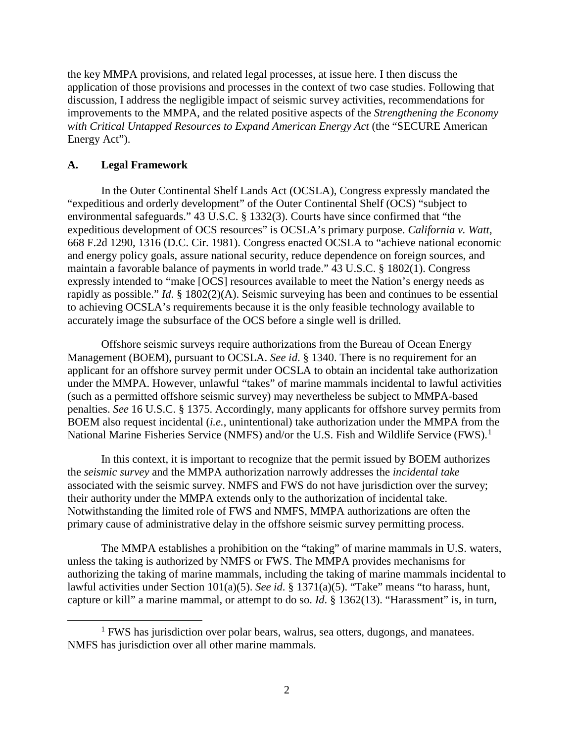the key MMPA provisions, and related legal processes, at issue here. I then discuss the application of those provisions and processes in the context of two case studies. Following that discussion, I address the negligible impact of seismic survey activities, recommendations for improvements to the MMPA, and the related positive aspects of the *Strengthening the Economy with Critical Untapped Resources to Expand American Energy Act* (the "SECURE American Energy Act").

### **A. Legal Framework**

In the Outer Continental Shelf Lands Act (OCSLA), Congress expressly mandated the "expeditious and orderly development" of the Outer Continental Shelf (OCS) "subject to environmental safeguards." 43 U.S.C. § 1332(3). Courts have since confirmed that "the expeditious development of OCS resources" is OCSLA's primary purpose. *California v. Watt*, 668 F.2d 1290, 1316 (D.C. Cir. 1981). Congress enacted OCSLA to "achieve national economic and energy policy goals, assure national security, reduce dependence on foreign sources, and maintain a favorable balance of payments in world trade." 43 U.S.C. § 1802(1). Congress expressly intended to "make [OCS] resources available to meet the Nation's energy needs as rapidly as possible." *Id*. § 1802(2)(A). Seismic surveying has been and continues to be essential to achieving OCSLA's requirements because it is the only feasible technology available to accurately image the subsurface of the OCS before a single well is drilled.

Offshore seismic surveys require authorizations from the Bureau of Ocean Energy Management (BOEM), pursuant to OCSLA. *See id*. § 1340. There is no requirement for an applicant for an offshore survey permit under OCSLA to obtain an incidental take authorization under the MMPA. However, unlawful "takes" of marine mammals incidental to lawful activities (such as a permitted offshore seismic survey) may nevertheless be subject to MMPA-based penalties. *See* 16 U.S.C. § 1375. Accordingly, many applicants for offshore survey permits from BOEM also request incidental (*i.e.*, unintentional) take authorization under the MMPA from the National Marine Fisheries Service (NMFS) and/or the U.S. Fish and Wildlife Service (FWS).<sup>[1](#page-1-0)</sup>

In this context, it is important to recognize that the permit issued by BOEM authorizes the *seismic survey* and the MMPA authorization narrowly addresses the *incidental take* associated with the seismic survey. NMFS and FWS do not have jurisdiction over the survey; their authority under the MMPA extends only to the authorization of incidental take. Notwithstanding the limited role of FWS and NMFS, MMPA authorizations are often the primary cause of administrative delay in the offshore seismic survey permitting process.

The MMPA establishes a prohibition on the "taking" of marine mammals in U.S. waters, unless the taking is authorized by NMFS or FWS. The MMPA provides mechanisms for authorizing the taking of marine mammals, including the taking of marine mammals incidental to lawful activities under Section 101(a)(5). *See id*. § 1371(a)(5). "Take" means "to harass, hunt, capture or kill" a marine mammal, or attempt to do so. *Id*. § 1362(13). "Harassment" is, in turn,

<span id="page-1-0"></span><sup>&</sup>lt;sup>1</sup> FWS has jurisdiction over polar bears, walrus, sea otters, dugongs, and manatees. NMFS has jurisdiction over all other marine mammals.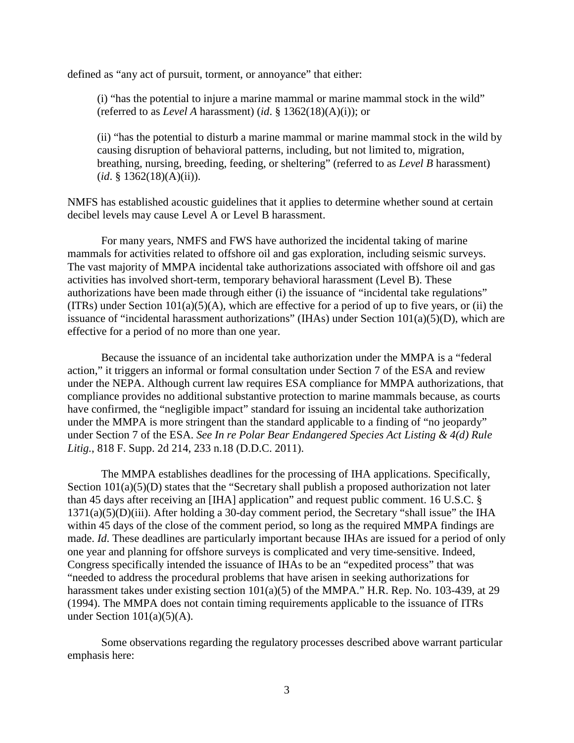defined as "any act of pursuit, torment, or annoyance" that either:

(i) "has the potential to injure a marine mammal or marine mammal stock in the wild" (referred to as *Level A* harassment) (*id*. § 1362(18)(A)(i)); or

(ii) "has the potential to disturb a marine mammal or marine mammal stock in the wild by causing disruption of behavioral patterns, including, but not limited to, migration, breathing, nursing, breeding, feeding, or sheltering" (referred to as *Level B* harassment) (*id*. § 1362(18)(A)(ii)).

NMFS has established acoustic guidelines that it applies to determine whether sound at certain decibel levels may cause Level A or Level B harassment.

For many years, NMFS and FWS have authorized the incidental taking of marine mammals for activities related to offshore oil and gas exploration, including seismic surveys. The vast majority of MMPA incidental take authorizations associated with offshore oil and gas activities has involved short-term, temporary behavioral harassment (Level B). These authorizations have been made through either (i) the issuance of "incidental take regulations" (ITRs) under Section  $101(a)(5)(A)$ , which are effective for a period of up to five years, or (ii) the issuance of "incidental harassment authorizations" (IHAs) under Section 101(a)(5)(D), which are effective for a period of no more than one year.

Because the issuance of an incidental take authorization under the MMPA is a "federal action," it triggers an informal or formal consultation under Section 7 of the ESA and review under the NEPA. Although current law requires ESA compliance for MMPA authorizations, that compliance provides no additional substantive protection to marine mammals because, as courts have confirmed, the "negligible impact" standard for issuing an incidental take authorization under the MMPA is more stringent than the standard applicable to a finding of "no jeopardy" under Section 7 of the ESA. *See In re Polar Bear Endangered Species Act Listing & 4(d) Rule Litig.*, 818 F. Supp. 2d 214, 233 n.18 (D.D.C. 2011).

The MMPA establishes deadlines for the processing of IHA applications. Specifically, Section  $101(a)(5)(D)$  states that the "Secretary shall publish a proposed authorization not later than 45 days after receiving an [IHA] application" and request public comment. 16 U.S.C. §  $1371(a)(5)(D)(iii)$ . After holding a 30-day comment period, the Secretary "shall issue" the IHA within 45 days of the close of the comment period, so long as the required MMPA findings are made. *Id*. These deadlines are particularly important because IHAs are issued for a period of only one year and planning for offshore surveys is complicated and very time-sensitive. Indeed, Congress specifically intended the issuance of IHAs to be an "expedited process" that was "needed to address the procedural problems that have arisen in seeking authorizations for harassment takes under existing section  $101(a)(5)$  of the MMPA." H.R. Rep. No. 103-439, at 29 (1994). The MMPA does not contain timing requirements applicable to the issuance of ITRs under Section  $101(a)(5)(A)$ .

Some observations regarding the regulatory processes described above warrant particular emphasis here: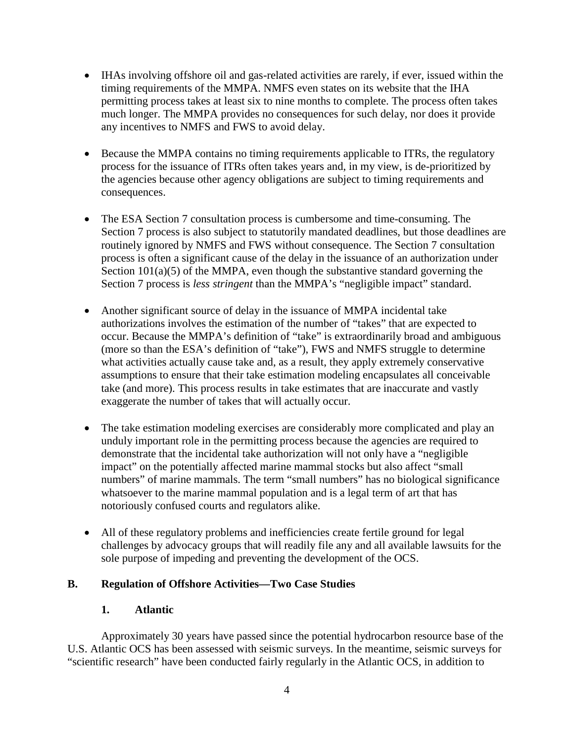- IHAs involving offshore oil and gas-related activities are rarely, if ever, issued within the timing requirements of the MMPA. NMFS even states on its website that the IHA permitting process takes at least six to nine months to complete. The process often takes much longer. The MMPA provides no consequences for such delay, nor does it provide any incentives to NMFS and FWS to avoid delay.
- Because the MMPA contains no timing requirements applicable to ITRs, the regulatory process for the issuance of ITRs often takes years and, in my view, is de-prioritized by the agencies because other agency obligations are subject to timing requirements and consequences.
- The ESA Section 7 consultation process is cumbersome and time-consuming. The Section 7 process is also subject to statutorily mandated deadlines, but those deadlines are routinely ignored by NMFS and FWS without consequence. The Section 7 consultation process is often a significant cause of the delay in the issuance of an authorization under Section  $101(a)(5)$  of the MMPA, even though the substantive standard governing the Section 7 process is *less stringent* than the MMPA's "negligible impact" standard.
- Another significant source of delay in the issuance of MMPA incidental take authorizations involves the estimation of the number of "takes" that are expected to occur. Because the MMPA's definition of "take" is extraordinarily broad and ambiguous (more so than the ESA's definition of "take"), FWS and NMFS struggle to determine what activities actually cause take and, as a result, they apply extremely conservative assumptions to ensure that their take estimation modeling encapsulates all conceivable take (and more). This process results in take estimates that are inaccurate and vastly exaggerate the number of takes that will actually occur.
- The take estimation modeling exercises are considerably more complicated and play an unduly important role in the permitting process because the agencies are required to demonstrate that the incidental take authorization will not only have a "negligible impact" on the potentially affected marine mammal stocks but also affect "small numbers" of marine mammals. The term "small numbers" has no biological significance whatsoever to the marine mammal population and is a legal term of art that has notoriously confused courts and regulators alike.
- All of these regulatory problems and inefficiencies create fertile ground for legal challenges by advocacy groups that will readily file any and all available lawsuits for the sole purpose of impeding and preventing the development of the OCS.

# **B. Regulation of Offshore Activities—Two Case Studies**

## **1. Atlantic**

Approximately 30 years have passed since the potential hydrocarbon resource base of the U.S. Atlantic OCS has been assessed with seismic surveys. In the meantime, seismic surveys for "scientific research" have been conducted fairly regularly in the Atlantic OCS, in addition to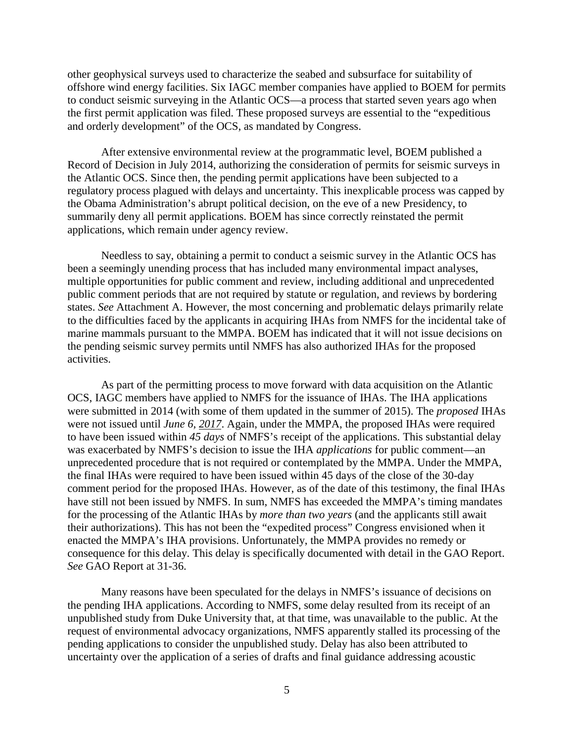other geophysical surveys used to characterize the seabed and subsurface for suitability of offshore wind energy facilities. Six IAGC member companies have applied to BOEM for permits to conduct seismic surveying in the Atlantic OCS—a process that started seven years ago when the first permit application was filed. These proposed surveys are essential to the "expeditious and orderly development" of the OCS, as mandated by Congress.

After extensive environmental review at the programmatic level, BOEM published a Record of Decision in July 2014, authorizing the consideration of permits for seismic surveys in the Atlantic OCS. Since then, the pending permit applications have been subjected to a regulatory process plagued with delays and uncertainty. This inexplicable process was capped by the Obama Administration's abrupt political decision, on the eve of a new Presidency, to summarily deny all permit applications. BOEM has since correctly reinstated the permit applications, which remain under agency review.

Needless to say, obtaining a permit to conduct a seismic survey in the Atlantic OCS has been a seemingly unending process that has included many environmental impact analyses, multiple opportunities for public comment and review, including additional and unprecedented public comment periods that are not required by statute or regulation, and reviews by bordering states. *See* Attachment A. However, the most concerning and problematic delays primarily relate to the difficulties faced by the applicants in acquiring IHAs from NMFS for the incidental take of marine mammals pursuant to the MMPA. BOEM has indicated that it will not issue decisions on the pending seismic survey permits until NMFS has also authorized IHAs for the proposed activities.

As part of the permitting process to move forward with data acquisition on the Atlantic OCS, IAGC members have applied to NMFS for the issuance of IHAs. The IHA applications were submitted in 2014 (with some of them updated in the summer of 2015). The *proposed* IHAs were not issued until *June 6, 2017*. Again, under the MMPA, the proposed IHAs were required to have been issued within *45 days* of NMFS's receipt of the applications. This substantial delay was exacerbated by NMFS's decision to issue the IHA *applications* for public comment—an unprecedented procedure that is not required or contemplated by the MMPA. Under the MMPA, the final IHAs were required to have been issued within 45 days of the close of the 30-day comment period for the proposed IHAs. However, as of the date of this testimony, the final IHAs have still not been issued by NMFS. In sum, NMFS has exceeded the MMPA's timing mandates for the processing of the Atlantic IHAs by *more than two years* (and the applicants still await their authorizations). This has not been the "expedited process" Congress envisioned when it enacted the MMPA's IHA provisions. Unfortunately, the MMPA provides no remedy or consequence for this delay. This delay is specifically documented with detail in the GAO Report. *See* GAO Report at 31-36.

Many reasons have been speculated for the delays in NMFS's issuance of decisions on the pending IHA applications. According to NMFS, some delay resulted from its receipt of an unpublished study from Duke University that, at that time, was unavailable to the public. At the request of environmental advocacy organizations, NMFS apparently stalled its processing of the pending applications to consider the unpublished study. Delay has also been attributed to uncertainty over the application of a series of drafts and final guidance addressing acoustic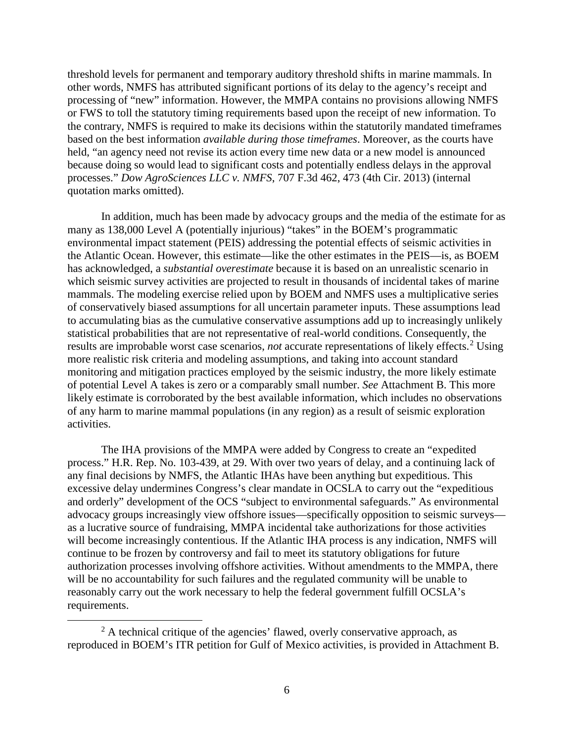threshold levels for permanent and temporary auditory threshold shifts in marine mammals. In other words, NMFS has attributed significant portions of its delay to the agency's receipt and processing of "new" information. However, the MMPA contains no provisions allowing NMFS or FWS to toll the statutory timing requirements based upon the receipt of new information. To the contrary, NMFS is required to make its decisions within the statutorily mandated timeframes based on the best information *available during those timeframes*. Moreover, as the courts have held, "an agency need not revise its action every time new data or a new model is announced because doing so would lead to significant costs and potentially endless delays in the approval processes." *Dow AgroSciences LLC v. NMFS*, 707 F.3d 462, 473 (4th Cir. 2013) (internal quotation marks omitted).

In addition, much has been made by advocacy groups and the media of the estimate for as many as 138,000 Level A (potentially injurious) "takes" in the BOEM's programmatic environmental impact statement (PEIS) addressing the potential effects of seismic activities in the Atlantic Ocean. However, this estimate—like the other estimates in the PEIS—is, as BOEM has acknowledged, a *substantial overestimate* because it is based on an unrealistic scenario in which seismic survey activities are projected to result in thousands of incidental takes of marine mammals. The modeling exercise relied upon by BOEM and NMFS uses a multiplicative series of conservatively biased assumptions for all uncertain parameter inputs. These assumptions lead to accumulating bias as the cumulative conservative assumptions add up to increasingly unlikely statistical probabilities that are not representative of real-world conditions. Consequently, the results are improbable worst case scenarios, *not* accurate representations of likely effects.<sup>[2](#page-5-0)</sup> Using more realistic risk criteria and modeling assumptions, and taking into account standard monitoring and mitigation practices employed by the seismic industry, the more likely estimate of potential Level A takes is zero or a comparably small number. *See* Attachment B. This more likely estimate is corroborated by the best available information, which includes no observations of any harm to marine mammal populations (in any region) as a result of seismic exploration activities.

The IHA provisions of the MMPA were added by Congress to create an "expedited process." H.R. Rep. No. 103-439, at 29. With over two years of delay, and a continuing lack of any final decisions by NMFS, the Atlantic IHAs have been anything but expeditious. This excessive delay undermines Congress's clear mandate in OCSLA to carry out the "expeditious and orderly" development of the OCS "subject to environmental safeguards." As environmental advocacy groups increasingly view offshore issues—specifically opposition to seismic surveys as a lucrative source of fundraising, MMPA incidental take authorizations for those activities will become increasingly contentious. If the Atlantic IHA process is any indication, NMFS will continue to be frozen by controversy and fail to meet its statutory obligations for future authorization processes involving offshore activities. Without amendments to the MMPA, there will be no accountability for such failures and the regulated community will be unable to reasonably carry out the work necessary to help the federal government fulfill OCSLA's requirements.

<span id="page-5-0"></span> $2<sup>2</sup>$  A technical critique of the agencies' flawed, overly conservative approach, as reproduced in BOEM's ITR petition for Gulf of Mexico activities, is provided in Attachment B.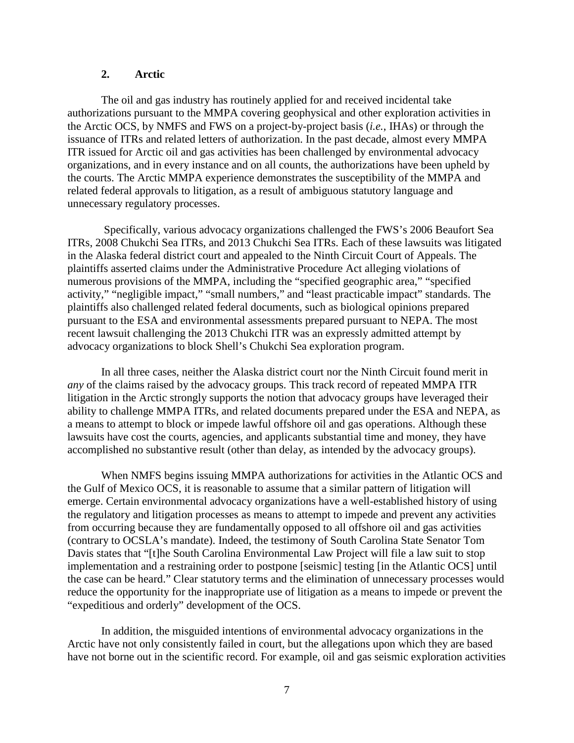## **2. Arctic**

The oil and gas industry has routinely applied for and received incidental take authorizations pursuant to the MMPA covering geophysical and other exploration activities in the Arctic OCS, by NMFS and FWS on a project-by-project basis (*i.e.*, IHAs) or through the issuance of ITRs and related letters of authorization. In the past decade, almost every MMPA ITR issued for Arctic oil and gas activities has been challenged by environmental advocacy organizations, and in every instance and on all counts, the authorizations have been upheld by the courts. The Arctic MMPA experience demonstrates the susceptibility of the MMPA and related federal approvals to litigation, as a result of ambiguous statutory language and unnecessary regulatory processes.

Specifically, various advocacy organizations challenged the FWS's 2006 Beaufort Sea ITRs, 2008 Chukchi Sea ITRs, and 2013 Chukchi Sea ITRs. Each of these lawsuits was litigated in the Alaska federal district court and appealed to the Ninth Circuit Court of Appeals. The plaintiffs asserted claims under the Administrative Procedure Act alleging violations of numerous provisions of the MMPA, including the "specified geographic area," "specified activity," "negligible impact," "small numbers," and "least practicable impact" standards. The plaintiffs also challenged related federal documents, such as biological opinions prepared pursuant to the ESA and environmental assessments prepared pursuant to NEPA. The most recent lawsuit challenging the 2013 Chukchi ITR was an expressly admitted attempt by advocacy organizations to block Shell's Chukchi Sea exploration program.

In all three cases, neither the Alaska district court nor the Ninth Circuit found merit in *any* of the claims raised by the advocacy groups. This track record of repeated MMPA ITR litigation in the Arctic strongly supports the notion that advocacy groups have leveraged their ability to challenge MMPA ITRs, and related documents prepared under the ESA and NEPA, as a means to attempt to block or impede lawful offshore oil and gas operations. Although these lawsuits have cost the courts, agencies, and applicants substantial time and money, they have accomplished no substantive result (other than delay, as intended by the advocacy groups).

When NMFS begins issuing MMPA authorizations for activities in the Atlantic OCS and the Gulf of Mexico OCS, it is reasonable to assume that a similar pattern of litigation will emerge. Certain environmental advocacy organizations have a well-established history of using the regulatory and litigation processes as means to attempt to impede and prevent any activities from occurring because they are fundamentally opposed to all offshore oil and gas activities (contrary to OCSLA's mandate). Indeed, the testimony of South Carolina State Senator Tom Davis states that "[t]he South Carolina Environmental Law Project will file a law suit to stop implementation and a restraining order to postpone [seismic] testing [in the Atlantic OCS] until the case can be heard." Clear statutory terms and the elimination of unnecessary processes would reduce the opportunity for the inappropriate use of litigation as a means to impede or prevent the "expeditious and orderly" development of the OCS.

In addition, the misguided intentions of environmental advocacy organizations in the Arctic have not only consistently failed in court, but the allegations upon which they are based have not borne out in the scientific record. For example, oil and gas seismic exploration activities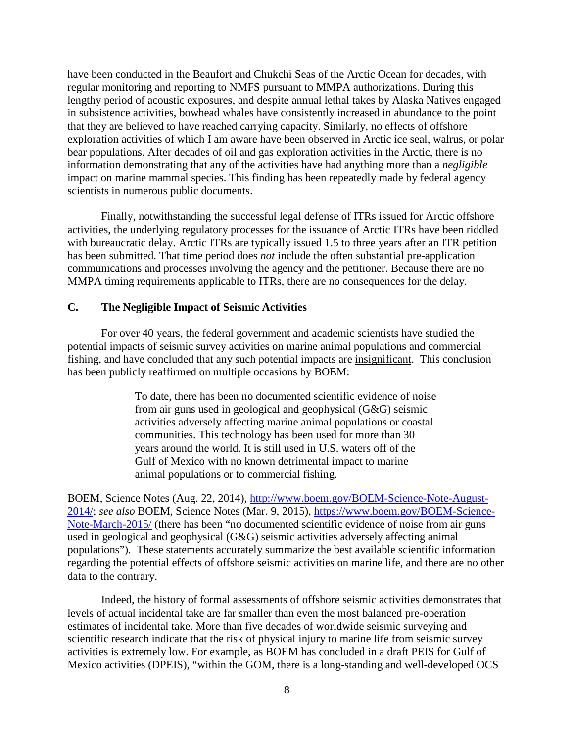have been conducted in the Beaufort and Chukchi Seas of the Arctic Ocean for decades, with regular monitoring and reporting to NMFS pursuant to MMPA authorizations. During this lengthy period of acoustic exposures, and despite annual lethal takes by Alaska Natives engaged in subsistence activities, bowhead whales have consistently increased in abundance to the point that they are believed to have reached carrying capacity. Similarly, no effects of offshore exploration activities of which I am aware have been observed in Arctic ice seal, walrus, or polar bear populations. After decades of oil and gas exploration activities in the Arctic, there is no information demonstrating that any of the activities have had anything more than a *negligible* impact on marine mammal species. This finding has been repeatedly made by federal agency scientists in numerous public documents.

Finally, notwithstanding the successful legal defense of ITRs issued for Arctic offshore activities, the underlying regulatory processes for the issuance of Arctic ITRs have been riddled with bureaucratic delay. Arctic ITRs are typically issued 1.5 to three years after an ITR petition has been submitted. That time period does *not* include the often substantial pre-application communications and processes involving the agency and the petitioner. Because there are no MMPA timing requirements applicable to ITRs, there are no consequences for the delay.

### **C. The Negligible Impact of Seismic Activities**

For over 40 years, the federal government and academic scientists have studied the potential impacts of seismic survey activities on marine animal populations and commercial fishing, and have concluded that any such potential impacts are insignificant. This conclusion has been publicly reaffirmed on multiple occasions by BOEM:

> To date, there has been no documented scientific evidence of noise from air guns used in geological and geophysical (G&G) seismic activities adversely affecting marine animal populations or coastal communities. This technology has been used for more than 30 years around the world. It is still used in U.S. waters off of the Gulf of Mexico with no known detrimental impact to marine animal populations or to commercial fishing.

BOEM, Science Notes (Aug. 22, 2014), [http://www.boem.gov/BOEM-Science-Note-August-](http://www.boem.gov/BOEM-Science-Note-August-2014/)[2014/;](http://www.boem.gov/BOEM-Science-Note-August-2014/) *see also* BOEM, Science Notes (Mar. 9, 2015), [https://www.boem.gov/BOEM-Science-](https://www.boem.gov/BOEM-Science-Note-March-2015/)[Note-March-2015/](https://www.boem.gov/BOEM-Science-Note-March-2015/) (there has been "no documented scientific evidence of noise from air guns used in geological and geophysical (G&G) seismic activities adversely affecting animal populations"). These statements accurately summarize the best available scientific information regarding the potential effects of offshore seismic activities on marine life, and there are no other data to the contrary.

Indeed, the history of formal assessments of offshore seismic activities demonstrates that levels of actual incidental take are far smaller than even the most balanced pre-operation estimates of incidental take. More than five decades of worldwide seismic surveying and scientific research indicate that the risk of physical injury to marine life from seismic survey activities is extremely low. For example, as BOEM has concluded in a draft PEIS for Gulf of Mexico activities (DPEIS), "within the GOM, there is a long-standing and well-developed OCS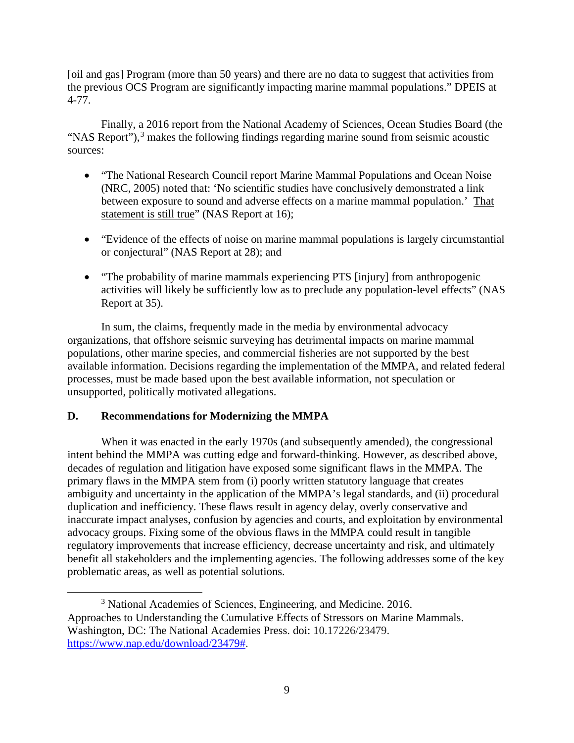[oil and gas] Program (more than 50 years) and there are no data to suggest that activities from the previous OCS Program are significantly impacting marine mammal populations." DPEIS at 4-77.

Finally, a 2016 report from the National Academy of Sciences, Ocean Studies Board (the "NAS Report"),<sup>[3](#page-8-0)</sup> makes the following findings regarding marine sound from seismic acoustic sources:

- "The National Research Council report Marine Mammal Populations and Ocean Noise (NRC, 2005) noted that: 'No scientific studies have conclusively demonstrated a link between exposure to sound and adverse effects on a marine mammal population.' That statement is still true" (NAS Report at 16);
- "Evidence of the effects of noise on marine mammal populations is largely circumstantial or conjectural" (NAS Report at 28); and
- "The probability of marine mammals experiencing PTS [injury] from anthropogenic activities will likely be sufficiently low as to preclude any population-level effects" (NAS Report at 35).

In sum, the claims, frequently made in the media by environmental advocacy organizations, that offshore seismic surveying has detrimental impacts on marine mammal populations, other marine species, and commercial fisheries are not supported by the best available information. Decisions regarding the implementation of the MMPA, and related federal processes, must be made based upon the best available information, not speculation or unsupported, politically motivated allegations.

# **D. Recommendations for Modernizing the MMPA**

When it was enacted in the early 1970s (and subsequently amended), the congressional intent behind the MMPA was cutting edge and forward-thinking. However, as described above, decades of regulation and litigation have exposed some significant flaws in the MMPA. The primary flaws in the MMPA stem from (i) poorly written statutory language that creates ambiguity and uncertainty in the application of the MMPA's legal standards, and (ii) procedural duplication and inefficiency. These flaws result in agency delay, overly conservative and inaccurate impact analyses, confusion by agencies and courts, and exploitation by environmental advocacy groups. Fixing some of the obvious flaws in the MMPA could result in tangible regulatory improvements that increase efficiency, decrease uncertainty and risk, and ultimately benefit all stakeholders and the implementing agencies. The following addresses some of the key problematic areas, as well as potential solutions.

<span id="page-8-0"></span> <sup>3</sup> National Academies of Sciences, Engineering, and Medicine. 2016. Approaches to Understanding the Cumulative Effects of Stressors on Marine Mammals. Washington, DC: The National Academies Press. doi: 10.17226/23479. [https://www.nap.edu/download/23479#.](https://www.nap.edu/download/23479)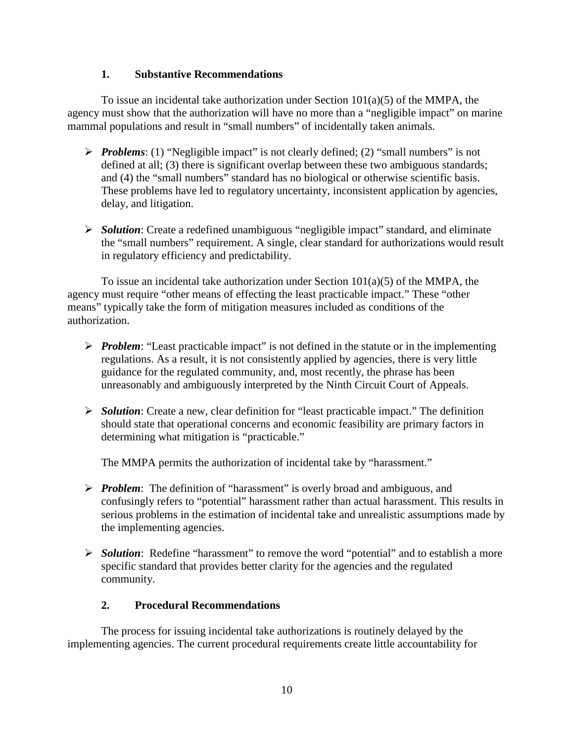### **1. Substantive Recommendations**

To issue an incidental take authorization under Section  $101(a)(5)$  of the MMPA, the agency must show that the authorization will have no more than a "negligible impact" on marine mammal populations and result in "small numbers" of incidentally taken animals.

- *Problems*: (1) "Negligible impact" is not clearly defined; (2) "small numbers" is not defined at all; (3) there is significant overlap between these two ambiguous standards; and (4) the "small numbers" standard has no biological or otherwise scientific basis. These problems have led to regulatory uncertainty, inconsistent application by agencies, delay, and litigation.
- *Solution*: Create a redefined unambiguous "negligible impact" standard, and eliminate the "small numbers" requirement. A single, clear standard for authorizations would result in regulatory efficiency and predictability.

To issue an incidental take authorization under Section  $101(a)(5)$  of the MMPA, the agency must require "other means of effecting the least practicable impact." These "other means" typically take the form of mitigation measures included as conditions of the authorization.

- *Problem*: "Least practicable impact" is not defined in the statute or in the implementing regulations. As a result, it is not consistently applied by agencies, there is very little guidance for the regulated community, and, most recently, the phrase has been unreasonably and ambiguously interpreted by the Ninth Circuit Court of Appeals.
- *Solution*: Create a new, clear definition for "least practicable impact." The definition should state that operational concerns and economic feasibility are primary factors in determining what mitigation is "practicable."

The MMPA permits the authorization of incidental take by "harassment."

- *Problem*: The definition of "harassment" is overly broad and ambiguous, and confusingly refers to "potential" harassment rather than actual harassment. This results in serious problems in the estimation of incidental take and unrealistic assumptions made by the implementing agencies.
- **≻** *Solution*: Redefine "harassment" to remove the word "potential" and to establish a more specific standard that provides better clarity for the agencies and the regulated community.

# **2. Procedural Recommendations**

The process for issuing incidental take authorizations is routinely delayed by the implementing agencies. The current procedural requirements create little accountability for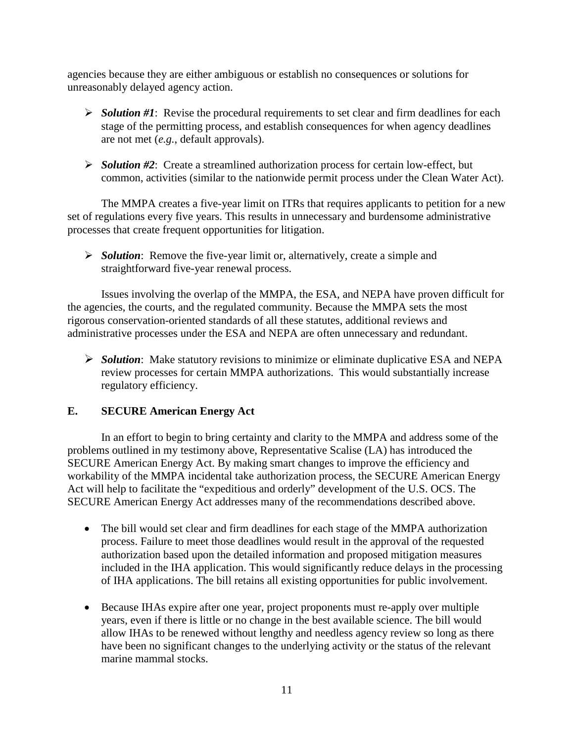agencies because they are either ambiguous or establish no consequences or solutions for unreasonably delayed agency action.

- *Solution #1*: Revise the procedural requirements to set clear and firm deadlines for each stage of the permitting process, and establish consequences for when agency deadlines are not met (*e.g.*, default approvals).
- *Solution #2*: Create a streamlined authorization process for certain low-effect, but common, activities (similar to the nationwide permit process under the Clean Water Act).

The MMPA creates a five-year limit on ITRs that requires applicants to petition for a new set of regulations every five years. This results in unnecessary and burdensome administrative processes that create frequent opportunities for litigation.

 *Solution*: Remove the five-year limit or, alternatively, create a simple and straightforward five-year renewal process.

Issues involving the overlap of the MMPA, the ESA, and NEPA have proven difficult for the agencies, the courts, and the regulated community. Because the MMPA sets the most rigorous conservation-oriented standards of all these statutes, additional reviews and administrative processes under the ESA and NEPA are often unnecessary and redundant.

 *Solution*: Make statutory revisions to minimize or eliminate duplicative ESA and NEPA review processes for certain MMPA authorizations. This would substantially increase regulatory efficiency.

# **E. SECURE American Energy Act**

In an effort to begin to bring certainty and clarity to the MMPA and address some of the problems outlined in my testimony above, Representative Scalise (LA) has introduced the SECURE American Energy Act. By making smart changes to improve the efficiency and workability of the MMPA incidental take authorization process, the SECURE American Energy Act will help to facilitate the "expeditious and orderly" development of the U.S. OCS. The SECURE American Energy Act addresses many of the recommendations described above.

- The bill would set clear and firm deadlines for each stage of the MMPA authorization process. Failure to meet those deadlines would result in the approval of the requested authorization based upon the detailed information and proposed mitigation measures included in the IHA application. This would significantly reduce delays in the processing of IHA applications. The bill retains all existing opportunities for public involvement.
- Because IHAs expire after one year, project proponents must re-apply over multiple years, even if there is little or no change in the best available science. The bill would allow IHAs to be renewed without lengthy and needless agency review so long as there have been no significant changes to the underlying activity or the status of the relevant marine mammal stocks.